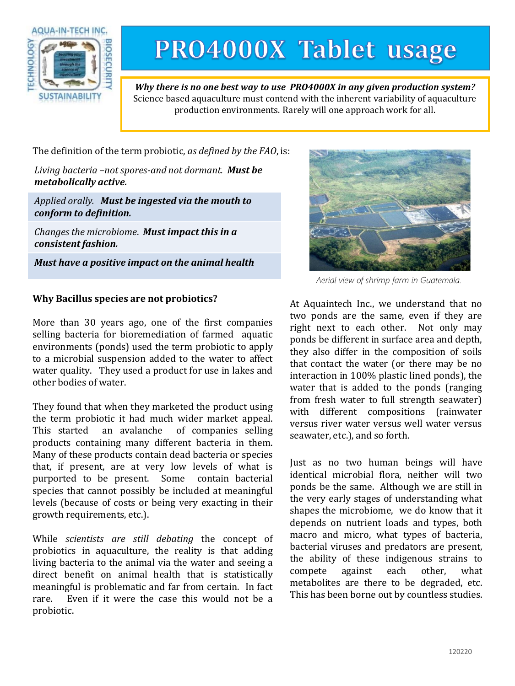

# **PRO4000X Tablet usage**

*Why there is no one best way to use PRO4000X in any given production system?* Science based aquaculture must contend with the inherent variability of aquaculture production environments. Rarely will one approach work for all.

The definition of the term probiotic, *as defined by the FAO*, is:

*Living bacteria –not spores-and not dormant. Must be metabolically active.*

*Applied orally. Must be ingested via the mouth to conform to definition.*

*Changes the microbiome*. *Must impact this in a consistent fashion.*

*Must have a positive impact on the animal health*

#### **Why Bacillus species are not probiotics?**

More than 30 years ago, one of the first companies selling bacteria for bioremediation of farmed aquatic environments (ponds) used the term probiotic to apply to a microbial suspension added to the water to affect water quality. They used a product for use in lakes and other bodies of water.

They found that when they marketed the product using the term probiotic it had much wider market appeal. This started an avalanche of companies selling products containing many different bacteria in them. Many of these products contain dead bacteria or species that, if present, are at very low levels of what is purported to be present. Some contain bacterial species that cannot possibly be included at meaningful levels (because of costs or being very exacting in their growth requirements, etc.).

While *scientists are still debating* the concept of probiotics in aquaculture, the reality is that adding living bacteria to the animal via the water and seeing a direct benefit on animal health that is statistically meaningful is problematic and far from certain. In fact rare. Even if it were the case this would not be a probiotic.



*Aerial view of shrimp farm in Guatemala.*

At Aquaintech Inc., we understand that no two ponds are the same, even if they are right next to each other. Not only may ponds be different in surface area and depth, they also differ in the composition of soils that contact the water (or there may be no interaction in 100% plastic lined ponds), the water that is added to the ponds (ranging from fresh water to full strength seawater) with different compositions (rainwater versus river water versus well water versus seawater, etc.), and so forth.

Just as no two human beings will have identical microbial flora, neither will two ponds be the same. Although we are still in the very early stages of understanding what shapes the microbiome, we do know that it depends on nutrient loads and types, both macro and micro, what types of bacteria, bacterial viruses and predators are present, the ability of these indigenous strains to compete against each other, what metabolites are there to be degraded, etc. This has been borne out by countless studies.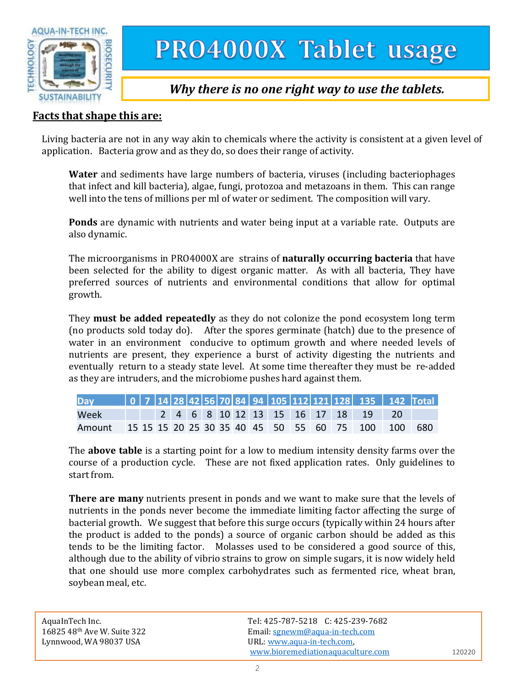

# **PRO4000X Tablet usage**

### *Why there is no one right way to use the tablets.*

### **Facts that shape this are:**

Living bacteria are not in any way akin to chemicals where the activity is consistent at a given level of application. Bacteria grow and as they do, so does their range of activity.

**Water** and sediments have large numbers of bacteria, viruses (including bacteriophages that infect and kill bacteria), algae, fungi, protozoa and metazoans in them. This can range well into the tens of millions per ml of water or sediment. The composition will vary.

**Ponds** are dynamic with nutrients and water being input at a variable rate. Outputs are also dynamic.

The microorganisms in PRO4000X are strains of **naturally occurring bacteria** that have been selected for the ability to digest organic matter. As with all bacteria, They have preferred sources of nutrients and environmental conditions that allow for optimal growth.

They **must be added repeatedly** as they do not colonize the pond ecosystem long term (no products sold today do). After the spores germinate (hatch) due to the presence of water in an environment conducive to optimum growth and where needed levels of nutrients are present, they experience a burst of activity digesting the nutrients and eventually return to a steady state level. At some time thereafter they must be re-added as they are intruders, and the microbiome pushes hard against them.

| <b>Dav</b> |  |  |  |  |  |  | 0   7  14  28  42  56  70  84   94   105   112   121   128   135   142   Total |  |
|------------|--|--|--|--|--|--|--------------------------------------------------------------------------------|--|
| Week       |  |  |  |  |  |  | 2 4 6 8 10 12 13 15 16 17 18 19 20                                             |  |
| Amount     |  |  |  |  |  |  | 15 15 15 20 25 30 35 40 45 50 55 60 75 100 100 680                             |  |

The **above table** is a starting point for a low to medium intensity density farms over the course of a production cycle. These are not fixed application rates. Only guidelines to start from.

**There are many** nutrients present in ponds and we want to make sure that the levels of nutrients in the ponds never become the immediate limiting factor affecting the surge of bacterial growth. We suggest that before this surge occurs (typically within 24 hours after the product is added to the ponds) a source of organic carbon should be added as this tends to be the limiting factor. Molasses used to be considered a good source of this, although due to the ability of vibrio strains to grow on simple sugars, it is now widely held that one should use more complex carbohydrates such as fermented rice, wheat bran, soybean meal, etc.